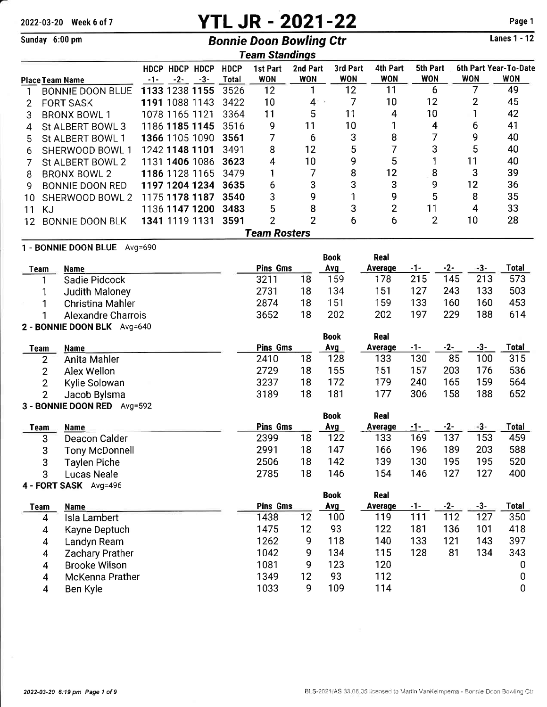# 2022-03-20 Week 6 of 7 **YTL JR - 2021-22** Page 1<br>
Bonnie Doon Bowling Ctr Lanes 1 - 12

# Sunday 6:00 pm **Bonnie Doon Bowling Ctr**

Lanes 1 - 12

|    | Team Standings                 |     |                         |       |                      |                        |                        |                        |                        |                         |            |       |                                     |
|----|--------------------------------|-----|-------------------------|-------|----------------------|------------------------|------------------------|------------------------|------------------------|-------------------------|------------|-------|-------------------------------------|
|    | <b>Place Team Name</b>         | -1- | HDCP HDCP HDCP<br>$-2-$ | $-3-$ | <b>HDCP</b><br>Total | 1st Part<br><b>WON</b> | 2nd Part<br><b>WON</b> | 3rd Part<br><b>WON</b> | 4th Part<br><b>WON</b> | 5th Part<br><b>WON</b>  | <b>WON</b> |       | 6th Part Year-To-Date<br><b>WON</b> |
| 1  | <b>BONNIE DOON BLUE</b>        |     | 1133 1238 1155          |       | 3526                 | 12                     | 1                      | 12                     | 11                     | 6                       |            | 7     | 49                                  |
| 2  | <b>FORT SASK</b>               |     | 1191 1088 1143          |       | 3422                 | 10                     | 4                      | 7                      | 10                     | 12                      |            | 2     | 45                                  |
| 3  | <b>BRONX BOWL 1</b>            |     | 1078 1165 1121          |       | 3364                 | 11                     | 5                      | 11                     | 4                      | 10                      |            | 1     | 42                                  |
| 4  | St ALBERT BOWL 3               |     | 1186 1185 1145          |       | 3516                 | 9                      | 11                     | 10                     | 1                      | $\overline{\mathbf{4}}$ |            | 6     | 41                                  |
| 5  | St ALBERT BOWL 1               |     | 1366 1105 1090          |       | 3561                 | 7                      | 6                      | 3                      | 8                      | 7                       |            | 9     | 40                                  |
| 6  | SHERWOOD BOWL 1                |     | 1242 1148 1101          |       | 3491                 | 8                      | 12                     | 5                      | 7                      | 3                       |            | 5     | 40                                  |
|    | St ALBERT BOWL 2               |     | 1131 1406 1086          |       | 3623                 | 4                      | 10                     | 9                      | 5                      | 1                       |            | 11    | 40                                  |
| 8  | <b>BRONX BOWL 2</b>            |     | 1186 1128 1165          |       | 3479                 | 1                      | 7                      | 8                      | 12                     | 8                       |            | 3     | 39                                  |
| 9  | <b>BONNIE DOON RED</b>         |     | 1197 1204 1234          |       | 3635                 | 6                      | 3                      | 3                      | 3                      | 9                       |            | 12    | 36                                  |
| 10 | SHERWOOD BOWL 2                |     | 1175 1178 1187          |       | 3540                 | 3                      | 9                      | 1                      | 9                      | 5                       |            | 8     | 35                                  |
| 11 | <b>KJ</b>                      |     | 1136 1147 1200          |       | 3483                 | 5                      | 8                      | 3                      | $\overline{2}$         | 11                      |            | 4     | 33                                  |
| 12 | <b>BONNIE DOON BLK</b>         |     | 1341 1119 1131          |       | 3591                 | $\overline{2}$         | $\overline{2}$         | 6                      | 6                      | $\overline{2}$          |            | 10    | 28                                  |
|    | <b>Team Rosters</b>            |     |                         |       |                      |                        |                        |                        |                        |                         |            |       |                                     |
|    | 1 - BONNIE DOON BLUE Avg=690   |     |                         |       |                      |                        |                        |                        |                        |                         |            |       |                                     |
|    |                                |     |                         |       |                      |                        |                        | <b>Book</b>            | Real                   |                         |            |       |                                     |
|    | <b>Name</b><br>Team            |     |                         |       |                      | <b>Pins Gms</b>        |                        | Avg                    | Average                | $-1-$                   | $-2-$      | -3-   | <b>Total</b>                        |
|    | Sadie Pidcock                  |     |                         |       |                      | 3211                   | 18                     | 159                    | 178                    | 215                     | 145        | 213   | 573                                 |
|    | Judith Maloney<br>1            |     |                         |       |                      | 2731                   | 18                     | 134                    | 151                    | 127                     | 243        | 133   | 503                                 |
|    | Christina Mahler<br>1          |     |                         |       |                      | 2874                   | 18                     | 151                    | 159                    | 133                     | 160        | 160   | 453                                 |
|    | <b>Alexandre Charrois</b><br>1 |     |                         |       |                      | 3652                   | 18                     | 202                    | 202                    | 197                     | 229        | 188   | 614                                 |
|    | 2 - BONNIE DOON BLK Avg=640    |     |                         |       |                      |                        |                        | <b>Book</b>            | Real                   |                         |            |       |                                     |
|    | <b>Name</b><br><b>Team</b>     |     |                         |       |                      | <b>Pins Gms</b>        |                        | Avg                    | Average                | -1-                     | $-2-$      | $-3-$ | Total                               |
|    | Anita Mahler<br>$\overline{2}$ |     |                         |       |                      | 2410                   | 18                     | 128                    | 133                    | 130                     | 85         | 100   | 315                                 |
|    | $\overline{2}$<br>Alex Wellon  |     |                         |       |                      | 2729                   | 18                     | 155                    | 151                    | 157                     | 203        | 176   | 536                                 |
|    | 2<br>Kylie Solowan             |     |                         |       |                      | 3237                   | 18                     | 172                    | 179                    | 240                     | 165        | 159   | 564                                 |
|    | $\overline{2}$<br>Jacob Bylsma |     |                         |       |                      | 3189                   | 18                     | 181                    | 177                    | 306                     | 158        | 188   | 652                                 |

## - BONNIE DOON RED Avg=592

|                     |                 |    | <b>Book</b> | Real           |     |     |     |       |
|---------------------|-----------------|----|-------------|----------------|-----|-----|-----|-------|
| <b>Name</b>         | <b>Pins Gms</b> |    | Avg         | <b>Average</b> | -1- |     | -3- | Total |
| Deacon Calder       | 2399            | 18 | 122         | 133            | 169 | 137 | 153 | 459   |
| Tony McDonnell      | 2991            | 18 | 147         | 166            | 196 | 189 | 203 | 588   |
| <b>Taylen Piche</b> | 2506            | 18 | 142         | 139            | 130 | 195 | 195 | 520   |
| Lucas Neale         | 2785            | 18 | 146         | 154            | 146 | 127 | 127 | 400   |
|                     |                 |    |             |                |     |     |     |       |

## - FORT SASK Avg=496

|      | $T = 1$ . The state is the state of $T = 1$ |                 |    | <b>Book</b> | Real    |     |     |     |              |
|------|---------------------------------------------|-----------------|----|-------------|---------|-----|-----|-----|--------------|
| Team | <b>Name</b>                                 | <b>Pins Gms</b> |    | Avg         | Average | -1- | -2- |     | <b>Total</b> |
| 4    | Isla Lambert                                | 1438            | 12 | 100         | 119     | 111 | 112 | 127 | 350          |
| 4    | Kayne Deptuch                               | 1475            | 12 | 93          | 122     | 181 | 136 | 101 | 418          |
| 4    | Landyn Ream                                 | 1262            | 9  | 118         | 140     | 133 | 121 | 143 | 397          |
| 4    | <b>Zachary Prather</b>                      | 1042            | 9  | 134         | 115     | 128 | 81  | 134 | 343          |
| 4    | <b>Brooke Wilson</b>                        | 1081            | 9  | 123         | 120     |     |     |     | 0            |
| 4    | McKenna Prather                             | 1349            | 12 | 93          | 112     |     |     |     | 0            |
|      | Ben Kyle                                    | 1033            | q  | 109         | 114     |     |     |     | 0            |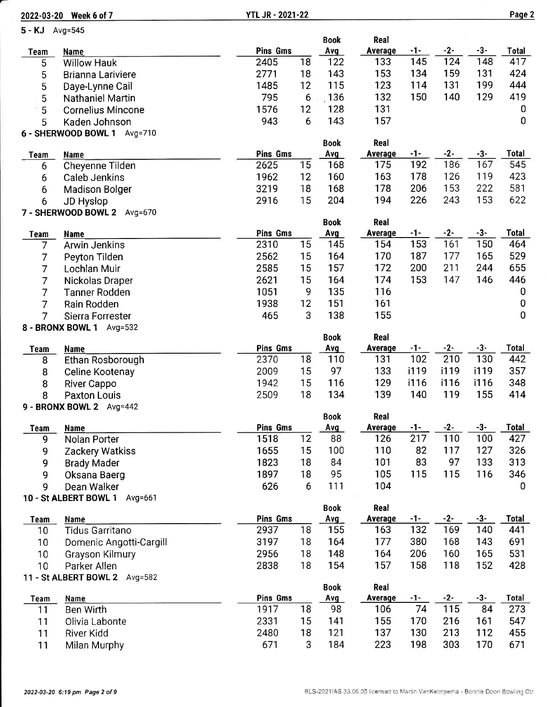|                 | 2022-03-20 Week 6 of 7                          | <b>YTL JR - 2021-22</b> |    |             |                       |            |              |       | Page 2       |
|-----------------|-------------------------------------------------|-------------------------|----|-------------|-----------------------|------------|--------------|-------|--------------|
| 5 - KJ Avg=545  |                                                 |                         |    |             |                       |            |              |       |              |
|                 |                                                 |                         |    | <b>Book</b> | Real                  |            |              |       |              |
| <b>Team</b>     | <b>Name</b>                                     | <b>Pins Gms</b>         |    | Avg         | Average               | -1-        | $-2-$        | $-3-$ | Total        |
| 5               | <b>Willow Hauk</b>                              | 2405                    | 18 | 122         | 133                   | 145        | 124          | 148   | 417          |
| 5               | <b>Brianna Lariviere</b>                        | 2771                    | 18 | 143         | 153                   | 134        | 159          | 131   | 424          |
| 5               | Daye-Lynne Cail                                 | 1485                    | 12 | 115         | 123                   | 114        | 131          | 199   | 444          |
| 5               | Nathaniel Martin                                | 795                     | 6  | 136         | 132                   | 150        | 140          | 129   | 419          |
| 5               | <b>Cornelius Mincone</b>                        | 1576                    | 12 | 128         | 131                   |            |              |       | 0            |
| 5               | Kaden Johnson                                   | 943                     | 6  | 143         | 157                   |            |              |       | $\mathbf 0$  |
|                 | 6 - SHERWOOD BOWL 1 Avg=710                     |                         |    |             |                       |            |              |       |              |
|                 |                                                 | <b>Pins Gms</b>         |    | <b>Book</b> | Real<br>Average       | -1-        | $-2-$        | -3-   | <b>Total</b> |
| <b>Team</b>     | <b>Name</b>                                     | 2625                    | 15 | Avg<br>168  | 175                   | 192        | 186          | 167   | 545          |
| 6               | Cheyenne Tilden                                 | 1962                    | 12 | 160         | 163                   | 178        | 126          | 119   | 423          |
| 6               | <b>Caleb Jenkins</b>                            | 3219                    | 18 | 168         | 178                   | 206        | 153          | 222   | 581          |
| 6               | <b>Madison Bolger</b>                           | 2916                    | 15 | 204         | 194                   | 226        | 243          | 153   | 622          |
| 6               | <b>JD Hyslop</b><br>7 - SHERWOOD BOWL 2 Avg=670 |                         |    |             |                       |            |              |       |              |
|                 |                                                 |                         |    | <b>Book</b> | <b>Real</b>           |            |              |       |              |
| <b>Team</b>     | <b>Name</b>                                     | <b>Pins Gms</b>         |    | Avg         | <b>Average</b>        | $-1-$      | $-2-$        | $-3-$ | <b>Total</b> |
| $\overline{7}$  | <b>Arwin Jenkins</b>                            | 2310                    | 15 | 145         | 154                   | 153        | 161          | 150   | 464          |
| 7               | Peyton Tilden                                   | 2562                    | 15 | 164         | 170                   | 187        | 177          | 165   | 529          |
| $\overline{7}$  | Lochlan Muir                                    | 2585                    | 15 | 157         | 172                   | 200        | 211          | 244   | 655          |
| $\overline{7}$  | Nickolas Draper                                 | 2621                    | 15 | 164         | 174                   | 153        | 147          | 146   | 446          |
| $\overline{7}$  | <b>Tanner Rodden</b>                            | 1051                    | 9  | 135         | 116                   |            |              |       | $\bf{0}$     |
| $\overline{7}$  | Rain Rodden                                     | 1938                    | 12 | 151         | 161                   |            |              |       | $\mathbf 0$  |
| 7               | Sierra Forrester                                | 465                     | 3  | 138         | 155                   |            |              |       | $\mathbf 0$  |
|                 | 8 - BRONX BOWL 1 Avg=532                        |                         |    |             |                       |            |              |       |              |
|                 |                                                 |                         |    | <b>Book</b> | Real                  |            |              |       |              |
| Team            | <b>Name</b>                                     | <b>Pins Gms</b>         |    | Avg         | Average               | $-1-$      | $-2-$        | $-3-$ | Total        |
| 8               | Ethan Rosborough                                | 2370                    | 18 | 110         | 131                   | 102        | 210          | 130   | 442          |
| 8               | Celine Kootenay                                 | 2009                    | 15 | 97          | 133                   | i119       | i119         | i119  | 357          |
| 8               | <b>River Cappo</b>                              | 1942                    | 15 | 116         | 129                   | i116       | i116         | i116  | 348          |
| 8               | <b>Paxton Louis</b>                             | 2509                    | 18 | 134         | 139                   | 140        | 119          | 155   | 414          |
|                 | 9 - BRONX BOWL 2 Avg=442                        |                         |    |             |                       |            |              |       |              |
|                 |                                                 |                         |    | <b>Book</b> | Real                  |            |              |       |              |
| <b>Team</b>     | <b>Name</b>                                     | Pins Gms                |    | Avg         | <b>Average</b>        | $-1-$      | $-2-$        | $-3-$ | Total        |
| 9               | Nolan Porter                                    | 1518                    | 12 | 88          | 126                   | 217        | 110          | 100   | 427          |
| 9               | Zackery Watkiss                                 | 1655                    | 15 | 100         | 110                   | 82         | 117          | 127   | 326          |
| 9               | <b>Brady Mader</b>                              | 1823                    | 18 | 84          | 101                   | 83         | 97           | 133   | 313          |
| 9               | Oksana Baerg                                    | 1897                    | 18 | 95          | 105                   | 115        | 115          | 116   | 346          |
| 9               | Dean Walker                                     | 626                     | 6  | 111         | 104                   |            |              |       | 0            |
|                 | 10 - St ALBERT BOWL 1<br>Avg=661                |                         |    |             |                       |            |              |       |              |
|                 |                                                 | Pins Gms                |    | <b>Book</b> | Real                  |            |              | $-3-$ | <b>Total</b> |
| <b>Team</b>     | Name<br>Tidus Garritano                         | 2937                    | 18 | Avg<br>155  | <b>Average</b><br>163 | -1-<br>132 | $-2-$<br>169 | 140   | 441          |
| 10 <sub>1</sub> |                                                 | 3197                    | 18 | 164         | 177                   | 380        | 168          | 143   | 691          |
| 10              | Domenic Angotti-Cargill                         | 2956                    | 18 | 148         | 164                   | 206        | 160          | 165   | 531          |
| 10              | Grayson Kilmury                                 |                         | 18 | 154         | 157                   | 158        | 118          | 152   |              |
| 10              | Parker Allen                                    | 2838                    |    |             |                       |            |              |       | 428          |
|                 | 11 - St ALBERT BOWL 2 Avg=582                   |                         |    | <b>Book</b> | Real                  |            |              |       |              |
| <b>Team</b>     | Name                                            | <b>Pins Gms</b>         |    | Avg         | Average               | $-1-$      | $-2-$        | $-3-$ | <b>Total</b> |
| 11              | <b>Ben Wirth</b>                                | 1917                    | 18 | 98          | 106                   | 74         | 115          | 84    | 273          |
| 11              | Olivia Labonte                                  | 2331                    | 15 | 141         | 155                   | 170        | 216          | 161   | 547          |
| 11              | River Kidd                                      | 2480                    | 18 | 121         | 137                   | 130        | 213          | 112   | 455          |
| 11              | Milan Murphy                                    | 671                     | 3  | 184         | 223                   | 198        | 303          | 170   | 671          |

Milan Murphy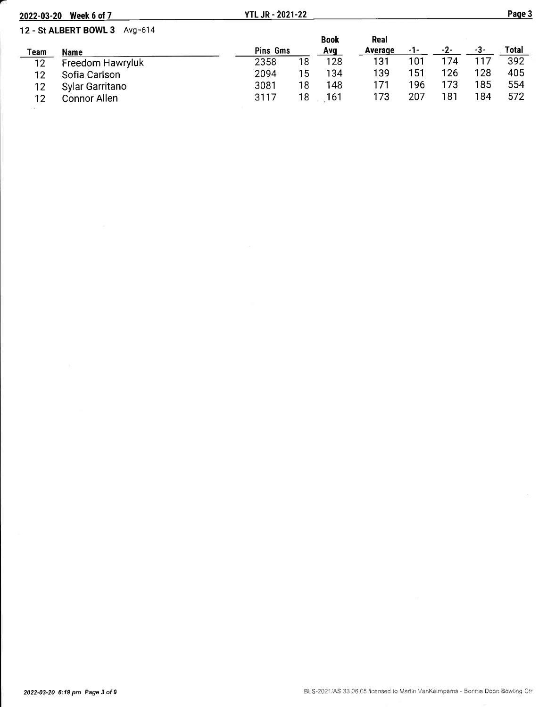| 2022-03-20 | Week 6 of 7                      | <b>YTL JR - 2021-22</b> |    |             |         |       |     |     | Page 3 |
|------------|----------------------------------|-------------------------|----|-------------|---------|-------|-----|-----|--------|
|            | 12 - St ALBERT BOWL 3<br>Avg=614 |                         |    | <b>Book</b> | Real    |       |     |     |        |
| Team       | Name                             | Pins Gms                |    | Avq         | Average | $-1-$ | -2- | -3- | Total  |
| 12         | Freedom Hawryluk                 | 2358                    | 18 | 128         | 131     | 101   | 174 |     | 392    |
| 12         | Sofia Carlson                    | 2094                    | 15 | 134         | 139     | 151   | 126 | 128 | 405    |
| 12         | Sylar Garritano                  | 3081                    | 18 | 148         | 171     | 196   | 173 | 185 | 554    |
| 12         | Connor Allen                     | 3117                    | 18 | 161         | 173     | 207   | 181 | 184 | 572    |

ò.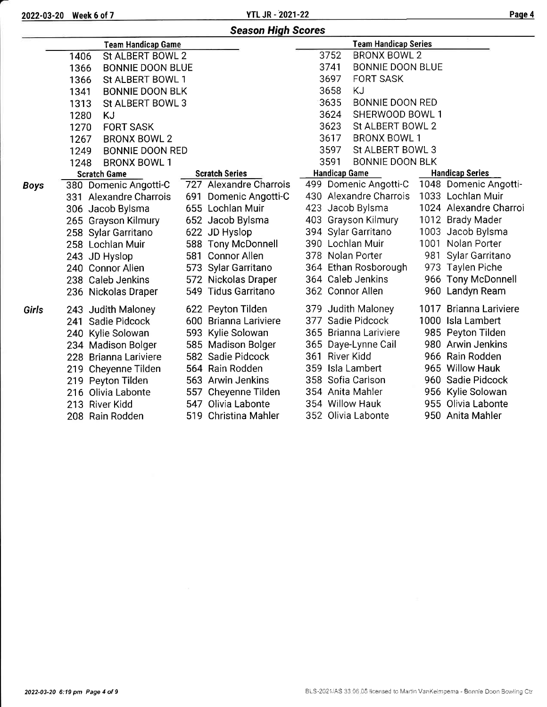2022-03-20 Week 6 of 7 YTL JR - 2021-22 Paqe 4

|             |                                 | <b>Season High Scores</b> |                                 |                        |
|-------------|---------------------------------|---------------------------|---------------------------------|------------------------|
|             | <b>Team Handicap Game</b>       |                           | <b>Team Handicap Series</b>     |                        |
|             | St ALBERT BOWL 2<br>1406        |                           | 3752<br><b>BRONX BOWL 2</b>     |                        |
|             | 1366<br><b>BONNIE DOON BLUE</b> |                           | 3741<br><b>BONNIE DOON BLUE</b> |                        |
|             | St ALBERT BOWL 1<br>1366        |                           | 3697<br><b>FORT SASK</b>        |                        |
|             | <b>BONNIE DOON BLK</b><br>1341  |                           | <b>KJ</b><br>3658               |                        |
|             | St ALBERT BOWL 3<br>1313        |                           | 3635<br><b>BONNIE DOON RED</b>  |                        |
|             | 1280<br><b>KJ</b>               |                           | 3624<br>SHERWOOD BOWL 1         |                        |
|             | <b>FORT SASK</b><br>1270        |                           | 3623<br>St ALBERT BOWL 2        |                        |
|             | 1267<br><b>BRONX BOWL 2</b>     |                           | 3617<br><b>BRONX BOWL 1</b>     |                        |
|             | 1249<br><b>BONNIE DOON RED</b>  |                           | 3597<br>St ALBERT BOWL 3        |                        |
|             | 1248<br><b>BRONX BOWL 1</b>     |                           | 3591<br><b>BONNIE DOON BLK</b>  |                        |
|             | <b>Scratch Game</b>             | <b>Scratch Series</b>     | <b>Handicap Game</b>            | <b>Handicap Series</b> |
| <b>Boys</b> | 380 Domenic Angotti-C           | 727 Alexandre Charrois    | 499 Domenic Angotti-C           | 1048 Domenic Angotti-  |
|             | 331 Alexandre Charrois          | 691 Domenic Angotti-C     | 430 Alexandre Charrois          | 1033 Lochlan Muir      |
|             | 306 Jacob Bylsma                | 655 Lochlan Muir          | 423 Jacob Bylsma                | 1024 Alexandre Charroi |
|             | 265 Grayson Kilmury             | 652 Jacob Bylsma          | 403 Grayson Kilmury             | 1012 Brady Mader       |
|             | 258 Sylar Garritano             | 622 JD Hyslop             | 394 Sylar Garritano             | 1003 Jacob Bylsma      |
|             | 258 Lochlan Muir                | 588 Tony McDonnell        | 390 Lochlan Muir                | 1001 Nolan Porter      |
|             | 243 JD Hyslop                   | 581 Connor Allen          | 378 Nolan Porter                | 981<br>Sylar Garritano |
|             | 240 Connor Allen                | 573 Sylar Garritano       | 364 Ethan Rosborough            | 973 Taylen Piche       |
|             | 238 Caleb Jenkins               | 572 Nickolas Draper       | 364 Caleb Jenkins               | 966 Tony McDonnell     |
|             | 236 Nickolas Draper             | 549 Tidus Garritano       | 362 Connor Allen                | 960 Landyn Ream        |
| Girls       | 243 Judith Maloney              | 622 Peyton Tilden         | 379 Judith Maloney              | 1017 Brianna Lariviere |
|             | 241 Sadie Pidcock               | 600 Brianna Lariviere     | 377 Sadie Pidcock               | 1000 Isla Lambert      |
|             | 240 Kylie Solowan               | 593 Kylie Solowan         | 365 Brianna Lariviere           | 985 Peyton Tilden      |
|             | 234 Madison Bolger              | 585 Madison Bolger        | 365 Daye-Lynne Cail             | 980 Arwin Jenkins      |
|             | 228 Brianna Lariviere           | 582 Sadie Pidcock         | 361 River Kidd                  | 966 Rain Rodden        |
|             | 219 Cheyenne Tilden             | 564 Rain Rodden           | 359 Isla Lambert                | 965 Willow Hauk        |
|             | 219 Peyton Tilden               | 563 Arwin Jenkins         | 358 Sofia Carlson               | 960 Sadie Pidcock      |
|             | 216 Olivia Labonte              | 557 Cheyenne Tilden       | 354 Anita Mahler                | 956 Kylie Solowan      |
|             | 213 River Kidd                  | 547 Olivia Labonte        | 354 Willow Hauk                 | 955 Olivia Labonte     |
|             | 208 Rain Rodden                 | 519 Christina Mahler      | 352 Olivia Labonte              | 950 Anita Mahler       |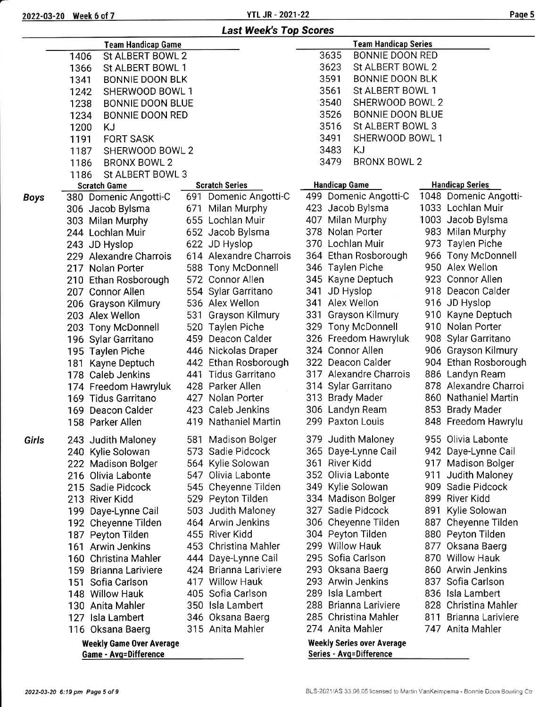2022-03-20 Week 6 of 7

YTL JR - 2021-22

|--|--|--|

-

|             |                                                                 | <b>Last Week's Top Scores</b> |                                                                     |     |                        |
|-------------|-----------------------------------------------------------------|-------------------------------|---------------------------------------------------------------------|-----|------------------------|
|             | <b>Team Handicap Game</b>                                       |                               | <b>Team Handicap Series</b>                                         |     |                        |
|             | 1406<br>St ALBERT BOWL 2                                        |                               | 3635<br><b>BONNIE DOON RED</b>                                      |     |                        |
|             | St ALBERT BOWL 1<br>1366                                        |                               | 3623<br>St ALBERT BOWL 2                                            |     |                        |
|             | <b>BONNIE DOON BLK</b><br>1341                                  |                               | 3591<br><b>BONNIE DOON BLK</b>                                      |     |                        |
|             | SHERWOOD BOWL 1<br>1242                                         |                               | 3561<br>St ALBERT BOWL 1                                            |     |                        |
|             | 1238<br><b>BONNIE DOON BLUE</b>                                 |                               | 3540<br>SHERWOOD BOWL 2                                             |     |                        |
|             | 1234<br><b>BONNIE DOON RED</b>                                  |                               | 3526<br>BONNIE DOON BLUE                                            |     |                        |
|             | 1200<br>KJ                                                      |                               | 3516<br>St ALBERT BOWL 3                                            |     |                        |
|             | <b>FORT SASK</b><br>1191                                        |                               | 3491<br>SHERWOOD BOWL 1                                             |     |                        |
|             | SHERWOOD BOWL 2                                                 |                               | 3483<br><b>KJ</b>                                                   |     |                        |
|             | 1187                                                            |                               | <b>BRONX BOWL 2</b><br>3479                                         |     |                        |
|             | <b>BRONX BOWL 2</b><br>1186                                     |                               |                                                                     |     |                        |
|             | St ALBERT BOWL 3<br>1186                                        |                               |                                                                     |     |                        |
|             | <b>Scratch Game</b>                                             | <b>Scratch Series</b>         | <b>Handicap Game</b>                                                |     | <b>Handicap Series</b> |
| <b>Boys</b> | 380 Domenic Angotti-C                                           | 691 Domenic Angotti-C         | 499 Domenic Angotti-C                                               |     | 1048 Domenic Angotti-  |
|             | 306 Jacob Bylsma                                                | 671 Milan Murphy              | 423 Jacob Bylsma                                                    |     | 1033 Lochlan Muir      |
|             | 303 Milan Murphy                                                | 655 Lochlan Muir              | 407 Milan Murphy                                                    |     | 1003 Jacob Bylsma      |
|             | 244 Lochlan Muir                                                | 652 Jacob Bylsma              | 378 Nolan Porter                                                    |     | 983 Milan Murphy       |
|             | 243 JD Hyslop                                                   | 622 JD Hyslop                 | 370 Lochlan Muir                                                    |     | 973 Taylen Piche       |
|             | 229 Alexandre Charrois                                          | 614 Alexandre Charrois        | 364 Ethan Rosborough                                                |     | 966 Tony McDonnell     |
|             | 217 Nolan Porter                                                | 588 Tony McDonnell            | 346 Taylen Piche                                                    |     | 950 Alex Wellon        |
|             | 210 Ethan Rosborough                                            | 572 Connor Allen              | 345 Kayne Deptuch                                                   |     | 923 Connor Allen       |
|             | 207 Connor Allen                                                | 554 Sylar Garritano           | 341 JD Hyslop                                                       |     | 918 Deacon Calder      |
|             | 206 Grayson Kilmury                                             | 536 Alex Wellon               | 341 Alex Wellon                                                     |     | 916 JD Hyslop          |
|             | 203 Alex Wellon                                                 | 531 Grayson Kilmury           | 331 Grayson Kilmury                                                 |     | 910 Kayne Deptuch      |
|             | 203 Tony McDonnell                                              | 520 Taylen Piche              | 329 Tony McDonnell                                                  |     | 910 Nolan Porter       |
|             | 196 Sylar Garritano                                             | 459 Deacon Calder             | 326 Freedom Hawryluk                                                |     | 908 Sylar Garritano    |
|             | 195 Taylen Piche                                                | 446 Nickolas Draper           | 324 Connor Allen                                                    |     | 906 Grayson Kilmury    |
|             | 181 Kayne Deptuch                                               | 442 Ethan Rosborough          | 322 Deacon Calder                                                   |     | 904 Ethan Rosborough   |
|             | 178 Caleb Jenkins                                               | 441 Tidus Garritano           | 317 Alexandre Charrois                                              |     | 886 Landyn Ream        |
|             | 174 Freedom Hawryluk                                            | 428 Parker Allen              | 314 Sylar Garritano                                                 |     | 878 Alexandre Charroi  |
|             | 169 Tidus Garritano                                             | 427 Nolan Porter              | 313 Brady Mader                                                     |     | 860 Nathaniel Martin   |
|             | 169 Deacon Calder                                               | 423 Caleb Jenkins             | 306 Landyn Ream                                                     |     | 853 Brady Mader        |
|             | 158 Parker Allen                                                | 419 Nathaniel Martin          | 299 Paxton Louis                                                    |     | 848 Freedom Hawrylu    |
| Girls       | 243 Judith Maloney                                              | 581 Madison Bolger            | 379 Judith Maloney                                                  |     | 955 Olivia Labonte     |
|             | 240 Kylie Solowan                                               | 573 Sadie Pidcock             | 365 Daye-Lynne Cail                                                 |     | 942 Daye-Lynne Cail    |
|             | 222 Madison Bolger                                              | 564 Kylie Solowan             | 361 River Kidd                                                      |     | 917 Madison Bolger     |
|             | 216 Olivia Labonte                                              | 547 Olivia Labonte            | 352 Olivia Labonte                                                  |     | 911 Judith Maloney     |
|             | 215 Sadie Pidcock                                               | 545 Cheyenne Tilden           | 349 Kylie Solowan                                                   |     | 909 Sadie Pidcock      |
|             | 213 River Kidd                                                  | 529 Peyton Tilden             | 334 Madison Bolger                                                  | 899 | River Kidd             |
|             | 199 Daye-Lynne Cail                                             | 503 Judith Maloney            | 327 Sadie Pidcock                                                   |     | 891 Kylie Solowan      |
|             | 192 Cheyenne Tilden                                             | 464 Arwin Jenkins             | 306 Cheyenne Tilden                                                 |     | 887 Cheyenne Tilden    |
|             | 187 Peyton Tilden                                               | 455 River Kidd                | 304 Peyton Tilden                                                   |     | 880 Peyton Tilden      |
|             | 161 Arwin Jenkins                                               | 453 Christina Mahler          | 299 Willow Hauk                                                     |     | 877 Oksana Baerg       |
|             | 160 Christina Mahler                                            | 444 Daye-Lynne Cail           | 295 Sofia Carlson                                                   |     | 870 Willow Hauk        |
|             | <b>Brianna Lariviere</b><br>159                                 | 424 Brianna Lariviere         | 293 Oksana Baerg                                                    |     | 860 Arwin Jenkins      |
|             | 151 Sofia Carlson                                               | 417 Willow Hauk               | 293 Arwin Jenkins                                                   |     | 837 Sofia Carlson      |
|             | 148 Willow Hauk                                                 | 405 Sofia Carlson             | 289 Isla Lambert                                                    |     | 836 Isla Lambert       |
|             | 130 Anita Mahler                                                | 350 Isla Lambert              | 288 Brianna Lariviere                                               |     | 828 Christina Mahler   |
|             | 127 Isla Lambert                                                | 346 Oksana Baerg              | 285 Christina Mahler                                                |     | 811 Brianna Lariviere  |
|             | 116 Oksana Baerg                                                | 315 Anita Mahler              | 274 Anita Mahler                                                    |     | 747 Anita Mahler       |
|             |                                                                 |                               |                                                                     |     |                        |
|             | <b>Weekly Game Over Average</b><br><b>Game - Avg=Difference</b> |                               | <b>Weekly Series over Average</b><br><b>Series - Avg=Difference</b> |     |                        |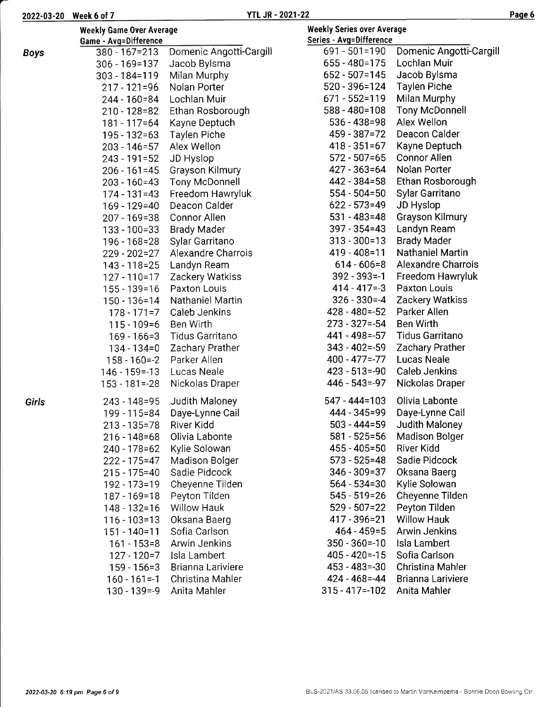| 2022-03-20 Week 6 of 7 |  |  |  |  |  |  |
|------------------------|--|--|--|--|--|--|
|------------------------|--|--|--|--|--|--|

|--|--|

|              | <b>Weekly Game Over Average</b><br>Game - Avg=Difference |                         | <b>Weekly Series over Average</b><br>Series - Avg=Difference |                           |
|--------------|----------------------------------------------------------|-------------------------|--------------------------------------------------------------|---------------------------|
| <b>Boys</b>  | $380 - 167 = 213$                                        | Domenic Angotti-Cargill | 691 - 501=190                                                | Domenic Angotti-Cargill   |
|              | $306 - 169 = 137$                                        | Jacob Bylsma            | 655 - 480 = 175                                              | Lochlan Muir              |
|              | $303 - 184 = 119$                                        | Milan Murphy            | $652 - 507 = 145$                                            | Jacob Bylsma              |
|              | 217 - 121=96                                             | Nolan Porter            | 520 - 396=124                                                | <b>Taylen Piche</b>       |
|              | 244 - 160=84                                             | Lochlan Muir            | 671 - 552=119                                                | Milan Murphy              |
|              | 210 - 128 = 82                                           | Ethan Rosborough        | $588 - 480 = 108$                                            | <b>Tony McDonnell</b>     |
|              | 181 - 117=64                                             | Kayne Deptuch           | $536 - 438 = 98$                                             | Alex Wellon               |
|              | 195 - 132 = 63                                           | <b>Taylen Piche</b>     | 459 - 387 = 72                                               | Deacon Calder             |
|              | $203 - 146 = 57$                                         | Alex Wellon             | $418 - 351 = 67$                                             | Kayne Deptuch             |
|              | 243 - 191=52                                             | JD Hyslop               | $572 - 507 = 65$                                             | <b>Connor Allen</b>       |
|              | $206 - 161 = 45$                                         | Grayson Kilmury         | 427 - 363=64                                                 | Nolan Porter              |
|              | 203 - 160=43                                             | <b>Tony McDonnell</b>   | 442 - 384 = 58                                               | Ethan Rosborough          |
|              | $174 - 131 = 43$                                         | Freedom Hawryluk        | $554 - 504 = 50$                                             | Sylar Garritano           |
|              | 169 - 129=40                                             | Deacon Calder           | $622 - 573 = 49$                                             | JD Hyslop                 |
|              | 207 - 169=38                                             | Connor Allen            | $531 - 483 = 48$                                             | <b>Grayson Kilmury</b>    |
|              | 133 - 100=33                                             | <b>Brady Mader</b>      | $397 - 354 = 43$                                             | Landyn Ream               |
|              | 196 - 168 = 28                                           | Sylar Garritano         | $313 - 300 = 13$                                             | <b>Brady Mader</b>        |
|              | 229 - 202=27                                             | Alexandre Charrois      | 419 - 408=11                                                 | <b>Nathaniel Martin</b>   |
|              | 143 - 118 = 25                                           | Landyn Ream             | $614 - 606 = 8$                                              | <b>Alexandre Charrois</b> |
|              | 127 - 110 = 17                                           | Zackery Watkiss         | $392 - 393 = -1$                                             | Freedom Hawryluk          |
|              | $155 - 139 = 16$                                         | Paxton Louis            | $414 - 417 = -3$                                             | <b>Paxton Louis</b>       |
|              | 150 - 136=14                                             | Nathaniel Martin        | $326 - 330 = -4$                                             | Zackery Watkiss           |
|              | $178 - 171 = 7$                                          | Caleb Jenkins           | $428 - 480 = -52$                                            | Parker Allen              |
|              | $115 - 109 = 6$                                          | Ben Wirth               | $273 - 327 = -54$                                            | <b>Ben Wirth</b>          |
|              | $169 - 166 = 3$                                          | Tidus Garritano         | 441 - 498 = - 57                                             | <b>Tidus Garritano</b>    |
|              | $134 - 134 = 0$                                          | Zachary Prather         | $343 - 402 = -59$                                            | <b>Zachary Prather</b>    |
|              | $158 - 160 = -2$                                         | Parker Allen            | $400 - 477 = -77$                                            | <b>Lucas Neale</b>        |
|              | $146 - 159 = -13$                                        | Lucas Neale             | $423 - 513 = -90$                                            | <b>Caleb Jenkins</b>      |
|              | $153 - 181 = -28$                                        | Nickolas Draper         | $446 - 543 = -97$                                            | Nickolas Draper           |
| <b>Girls</b> | 243 - 148 = 95                                           | Judith Maloney          | 547 - 444=103                                                | Olivia Labonte            |
|              | 199 - 115=84                                             | Daye-Lynne Cail         | 444 - 345 = 99                                               | Daye-Lynne Cail           |
|              | $213 - 135 = 78$                                         | River Kidd              | $503 - 444 = 59$                                             | Judith Maloney            |
|              | $216 - 148 = 68$                                         | Olivia Labonte          | $581 - 525 = 56$                                             | <b>Madison Bolger</b>     |
|              | 240 - 178 = 62                                           | Kylie Solowan           | 455 - 405 = 50                                               | River Kidd                |
|              | $222 - 175 = 47$                                         | <b>Madison Bolger</b>   | $573 - 525 = 48$                                             | Sadie Pidcock             |
|              | $215 - 175 = 40$                                         | Sadie Pidcock           | 346 - 309 = 37                                               | Oksana Baerg              |
|              | 192 - 173=19                                             | Cheyenne Tilden         | $564 - 534 = 30$                                             | Kylie Solowan             |
|              | 187 - 169 = 18                                           | Peyton Tilden           | $545 - 519 = 26$                                             | Cheyenne Tilden           |
|              | 148 - 132=16                                             | <b>Willow Hauk</b>      | $529 - 507 = 22$                                             | Peyton Tilden             |
|              | 116 - 103=13                                             | Oksana Baerg            | 417 - 396 = 21                                               | <b>Willow Hauk</b>        |
|              | $151 - 140 = 11$                                         | Sofia Carlson           | $464 - 459 = 5$                                              | <b>Arwin Jenkins</b>      |
|              | $161 - 153 = 8$                                          | Arwin Jenkins           | $350 - 360 = -10$                                            | Isla Lambert              |
|              | $127 - 120 = 7$                                          | Isla Lambert            | $405 - 420 = -15$                                            | Sofia Carlson             |
|              | $159 - 156 = 3$                                          | Brianna Lariviere       | $453 - 483 = -30$                                            | <b>Christina Mahler</b>   |
|              | $160 - 161 = -1$                                         | Christina Mahler        | 424 - 468 = - 44                                             | Brianna Lariviere         |
|              | $130 - 139 = -9$                                         | Anita Mahler            | $315 - 417 = -102$                                           | Anita Mahler              |
|              |                                                          |                         |                                                              |                           |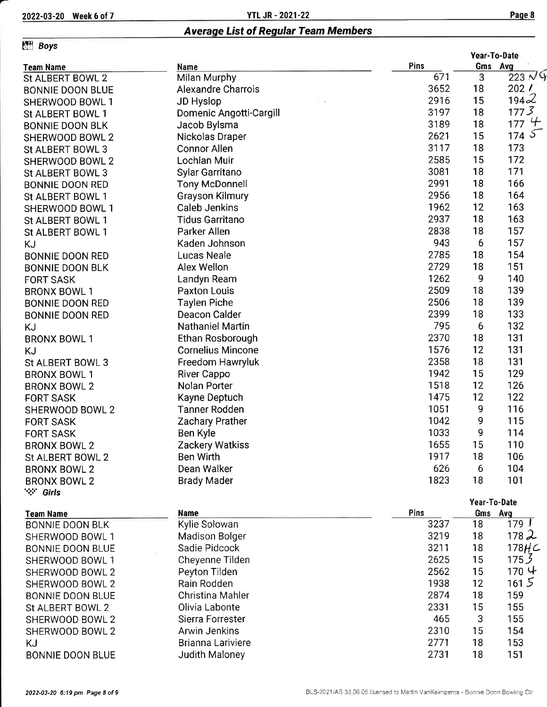2022-03-20 Week 6 of 7 YTL JR - 2021-22 Paqe <sup>8</sup>

# Average List of Regular Team Members

## $Eff$  Boys

|                         |                           |      | Year-To-Date |                  |
|-------------------------|---------------------------|------|--------------|------------------|
| <b>Team Name</b>        | Name                      | Pins |              | Gms Avg          |
| St ALBERT BOWL 2        | Milan Murphy              | 671  | 3            | 223N9            |
| <b>BONNIE DOON BLUE</b> | <b>Alexandre Charrois</b> | 3652 | 18           | 202 /            |
| SHERWOOD BOWL 1         | JD Hyslop                 | 2916 | 15           | 1942             |
| St ALBERT BOWL 1        | Domenic Angotti-Cargill   | 3197 | 18           | 1773             |
| <b>BONNIE DOON BLK</b>  | Jacob Bylsma              | 3189 | 18           | 1774             |
| SHERWOOD BOWL 2         | Nickolas Draper           | 2621 | 15           | 1745             |
| St ALBERT BOWL 3        | <b>Connor Allen</b>       | 3117 | 18           | 173              |
| SHERWOOD BOWL 2         | Lochlan Muir              | 2585 | 15           | 172              |
| St ALBERT BOWL 3        | Sylar Garritano           | 3081 | 18           | 171              |
| <b>BONNIE DOON RED</b>  | <b>Tony McDonnell</b>     | 2991 | 18           | 166              |
| St ALBERT BOWL 1        | <b>Grayson Kilmury</b>    | 2956 | 18           | 164              |
| SHERWOOD BOWL 1         | <b>Caleb Jenkins</b>      | 1962 | 12           | 163              |
| St ALBERT BOWL 1        | <b>Tidus Garritano</b>    | 2937 | 18           | 163              |
| St ALBERT BOWL 1        | Parker Allen              | 2838 | 18           | 157              |
| <b>KJ</b>               | Kaden Johnson             | 943  | 6            | 157              |
| <b>BONNIE DOON RED</b>  | Lucas Neale               | 2785 | 18           | 154              |
| <b>BONNIE DOON BLK</b>  | Alex Wellon               | 2729 | 18           | 151              |
| <b>FORT SASK</b>        | Landyn Ream               | 1262 | 9            | 140              |
| <b>BRONX BOWL 1</b>     | Paxton Louis              | 2509 | 18           | 139              |
| <b>BONNIE DOON RED</b>  | <b>Taylen Piche</b>       | 2506 | 18           | 139              |
| <b>BONNIE DOON RED</b>  | Deacon Calder             | 2399 | 18           | 133              |
| <b>KJ</b>               | <b>Nathaniel Martin</b>   | 795  | 6            | 132              |
| <b>BRONX BOWL 1</b>     | Ethan Rosborough          | 2370 | 18           | 131              |
| <b>KJ</b>               | <b>Cornelius Mincone</b>  | 1576 | 12           | 131              |
| St ALBERT BOWL 3        | Freedom Hawryluk          | 2358 | 18           | 131              |
| <b>BRONX BOWL 1</b>     | River Cappo               | 1942 | 15           | 129              |
| <b>BRONX BOWL 2</b>     | Nolan Porter              | 1518 | 12           | 126              |
| <b>FORT SASK</b>        | Kayne Deptuch             | 1475 | 12           | 122              |
| SHERWOOD BOWL 2         | <b>Tanner Rodden</b>      | 1051 | 9            | 116              |
| <b>FORT SASK</b>        | Zachary Prather           | 1042 | 9            | 115              |
| <b>FORT SASK</b>        | Ben Kyle                  | 1033 | 9            | 114              |
| <b>BRONX BOWL 2</b>     | <b>Zackery Watkiss</b>    | 1655 | 15           | 110              |
| St ALBERT BOWL 2        | Ben Wirth                 | 1917 | 18           | 106              |
| <b>BRONX BOWL 2</b>     | Dean Walker               | 626  | 6            | 104              |
| <b>BRONX BOWL 2</b>     | <b>Brady Mader</b>        | 1823 | 18           | 101              |
| ∵∵ Girls                |                           |      |              |                  |
|                         |                           |      |              | Year-To-Date     |
| <b>Team Name</b>        | <b>Name</b>               | Pins |              | Gms Avg          |
| <b>BONNIE DOON BLK</b>  | Kylie Solowan             | 3237 | 18           | 179 <sup>1</sup> |
| SHERWOOD BOWL 1         | Madison Bolger            | 3219 | 18           | 1782             |

| BONNIE DOON BLK         | Kylie Solowan     | 3237 | 18 | 179 L             |
|-------------------------|-------------------|------|----|-------------------|
| SHERWOOD BOWL 1         | Madison Bolger    | 3219 | 18 | 1782              |
| <b>BONNIE DOON BLUE</b> | Sadie Pidcock     | 3211 | 18 | 178H <sub>C</sub> |
| SHERWOOD BOWL 1         | Cheyenne Tilden   | 2625 | 15 | 175 <sub>2</sub>  |
| SHERWOOD BOWL 2         | Peyton Tilden     | 2562 | 15 | 170 나             |
| SHERWOOD BOWL 2         | Rain Rodden       | 1938 | 12 | 1615              |
| <b>BONNIE DOON BLUE</b> | Christina Mahler  | 2874 | 18 | 159               |
| St ALBERT BOWL 2        | Olivia Labonte    | 2331 | 15 | 155               |
| SHERWOOD BOWL 2         | Sierra Forrester  | 465  | 3  | 155               |
| SHERWOOD BOWL 2         | Arwin Jenkins     | 2310 | 15 | 154               |
| KJ                      | Brianna Lariviere | 2771 | 18 | 153               |
| <b>BONNIE DOON BLUE</b> | Judith Maloney    | 2731 | 18 | 151               |
|                         |                   |      |    |                   |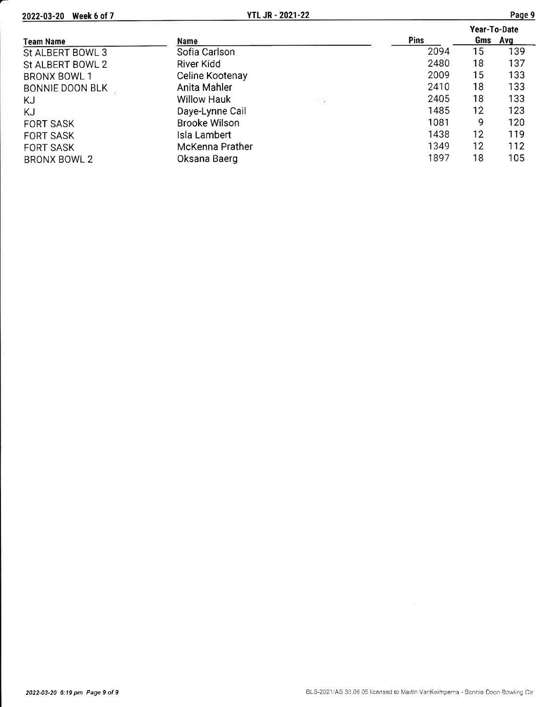2022-03-20 Week 6 of 7

|                        |                                                 |             | Year-To-Date |         |  |
|------------------------|-------------------------------------------------|-------------|--------------|---------|--|
| <b>Team Name</b>       | Name                                            | <b>Pins</b> |              | Gms Avg |  |
| St ALBERT BOWL 3       | Sofia Carlson                                   | 2094        | 15           | 139     |  |
| St ALBERT BOWL 2       | River Kidd                                      | 2480        | 18           | 137     |  |
| <b>BRONX BOWL 1</b>    | Celine Kootenay                                 | 2009        | 15           | 133     |  |
| <b>BONNIE DOON BLK</b> | Anita Mahler                                    | 2410        | 18           | 133     |  |
| KJ                     | <b>Willow Hauk</b><br>$\mathcal{F}=\mathcal{F}$ | 2405        | 18           | 133     |  |
| ΚJ                     | Daye-Lynne Cail                                 | 1485        | 12           | 123     |  |
| <b>FORT SASK</b>       | <b>Brooke Wilson</b>                            | 1081        | 9            | 120     |  |
| <b>FORT SASK</b>       | Isla Lambert                                    | 1438        | 12           | 119     |  |
| <b>FORT SASK</b>       | McKenna Prather                                 | 1349        | 12           | 112     |  |
| <b>BRONX BOWL 2</b>    | Oksana Baerg                                    | 1897        | 18           | 105     |  |